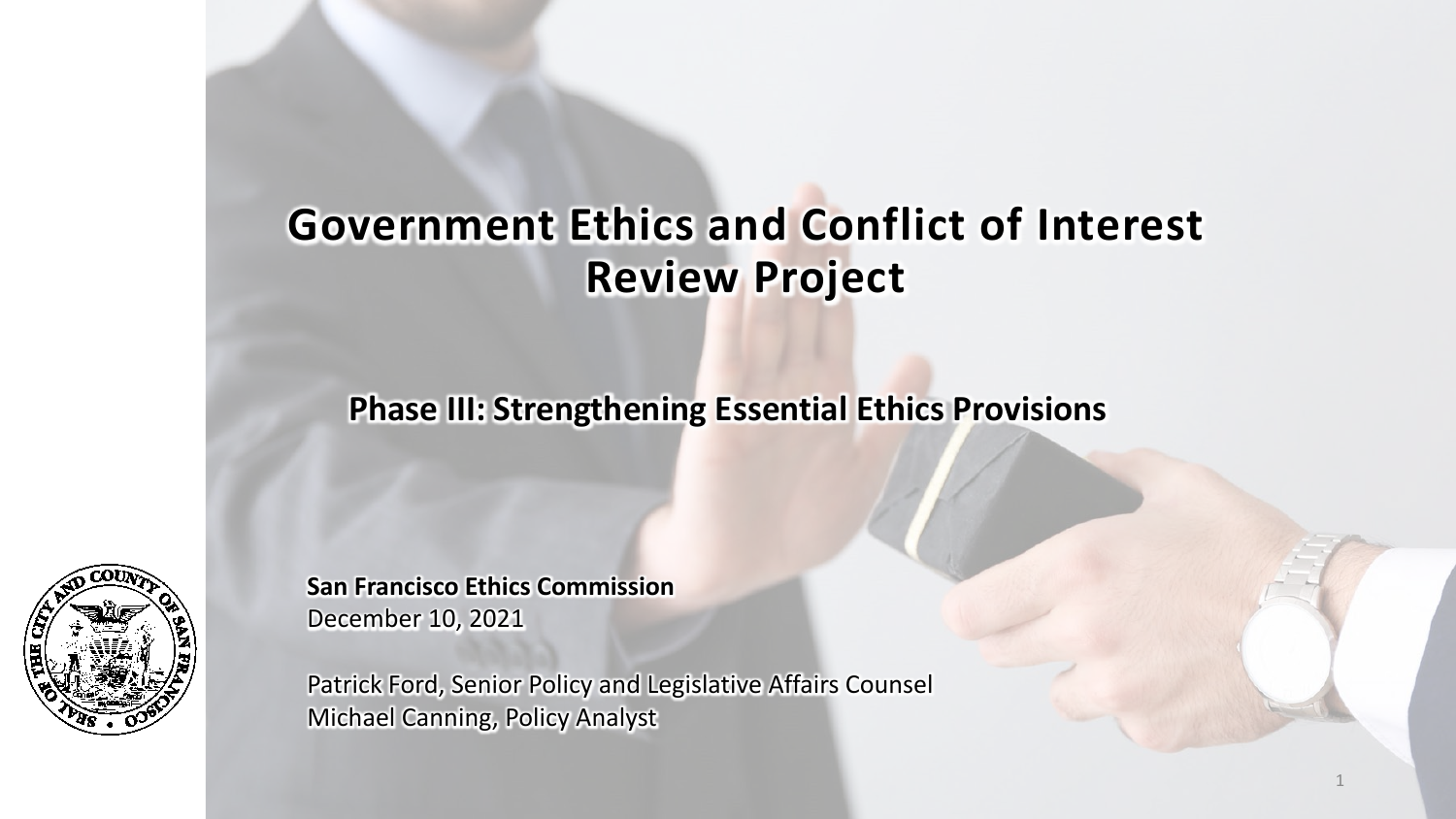### **Government Ethics and Conflict of Interest Review Project**

#### **Phase III: Strengthening Essential Ethics Provisions**



**San Francisco Ethics Commission**  December 10, 2021

Patrick Ford, Senior Policy and Legislative Affairs Counsel Michael Canning, Policy Analyst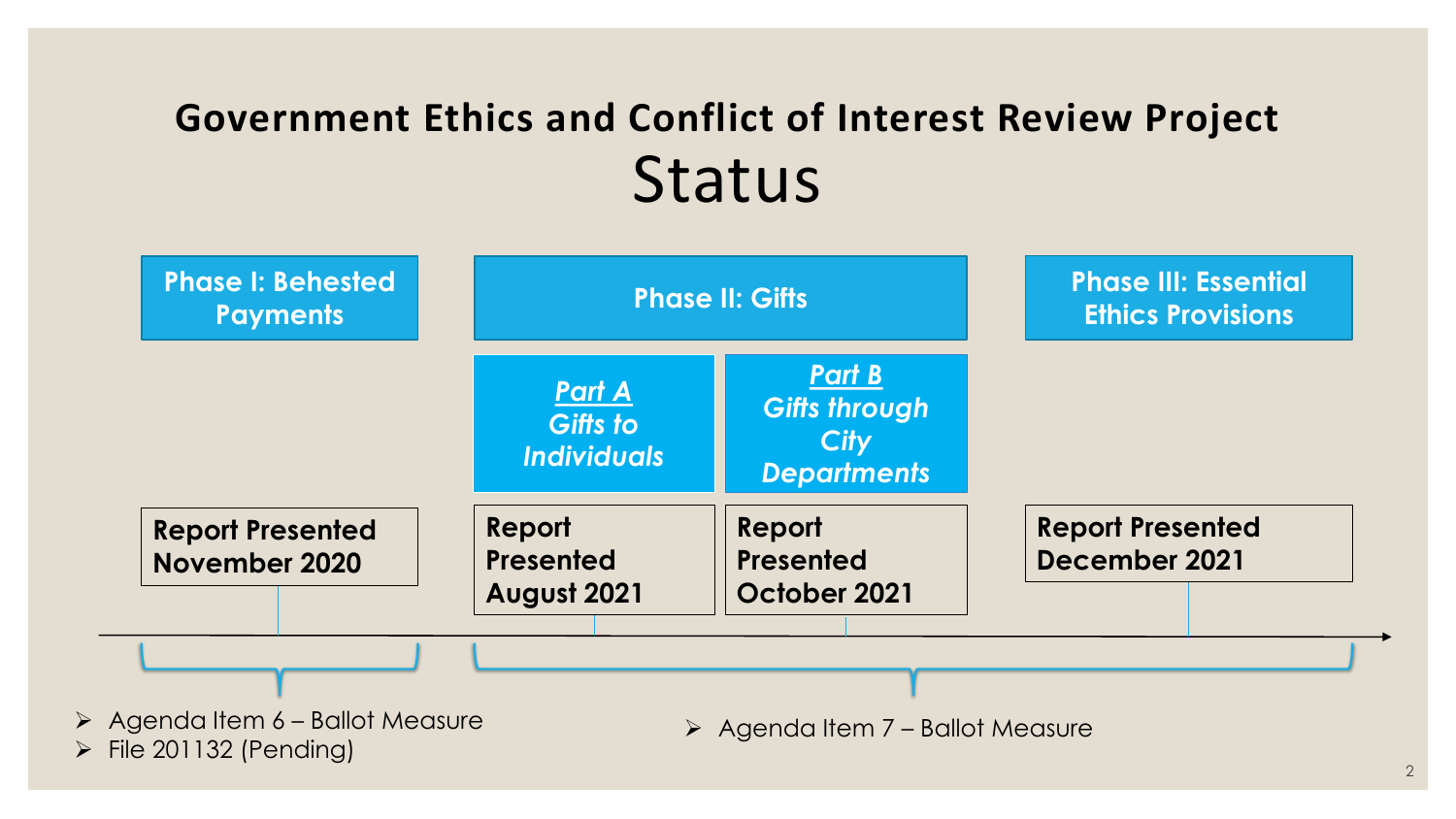### **Government Ethics and Conflict of Interest Review Project Status**

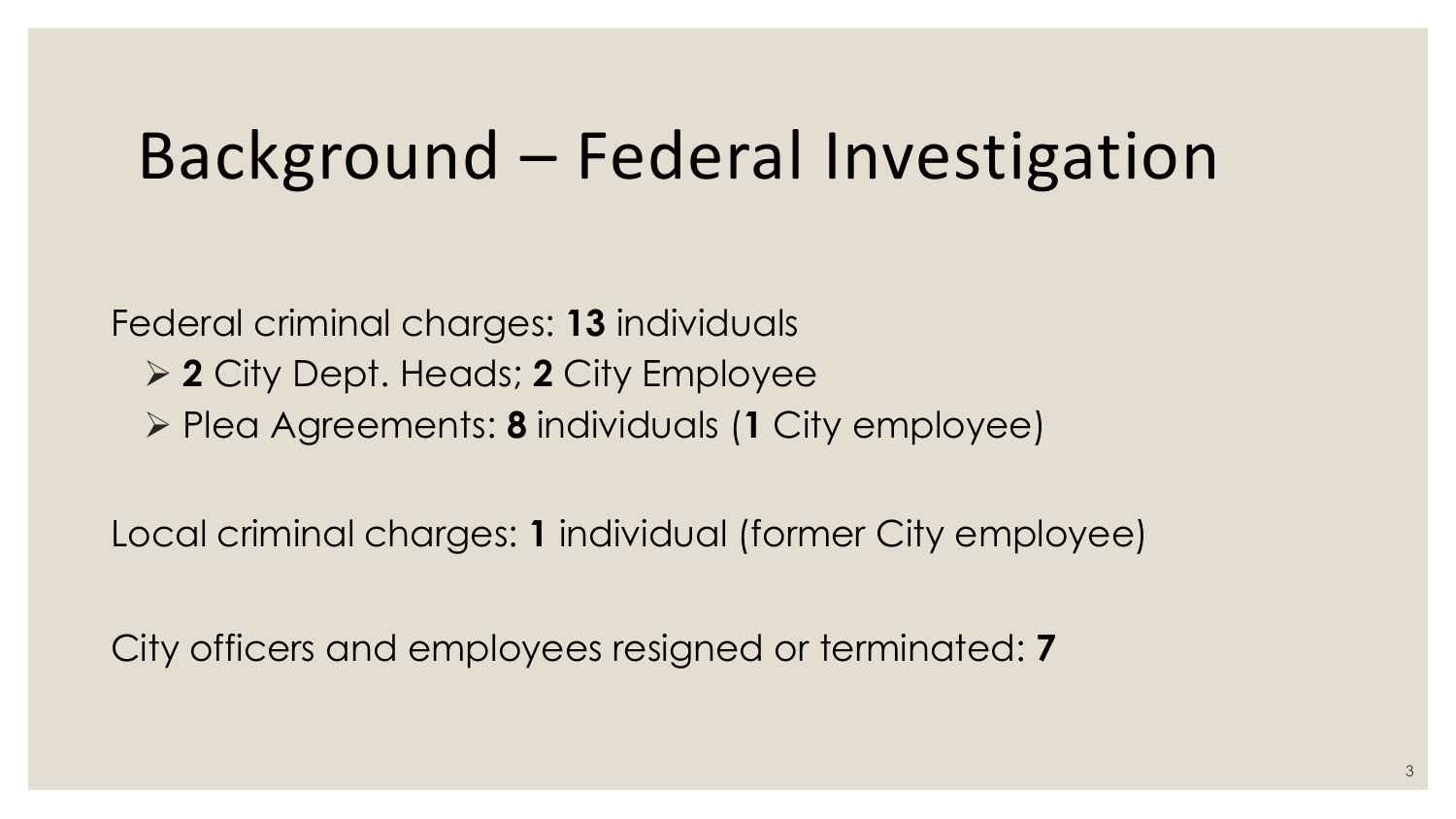## Background – Federal Investigation

Federal criminal charges: **13** individuals

- **2** City Dept. Heads; **2** City Employee
- Plea Agreements: **8** individuals (**1** City employee)

Local criminal charges: **1** individual (former City employee)

City officers and employees resigned or terminated: **7**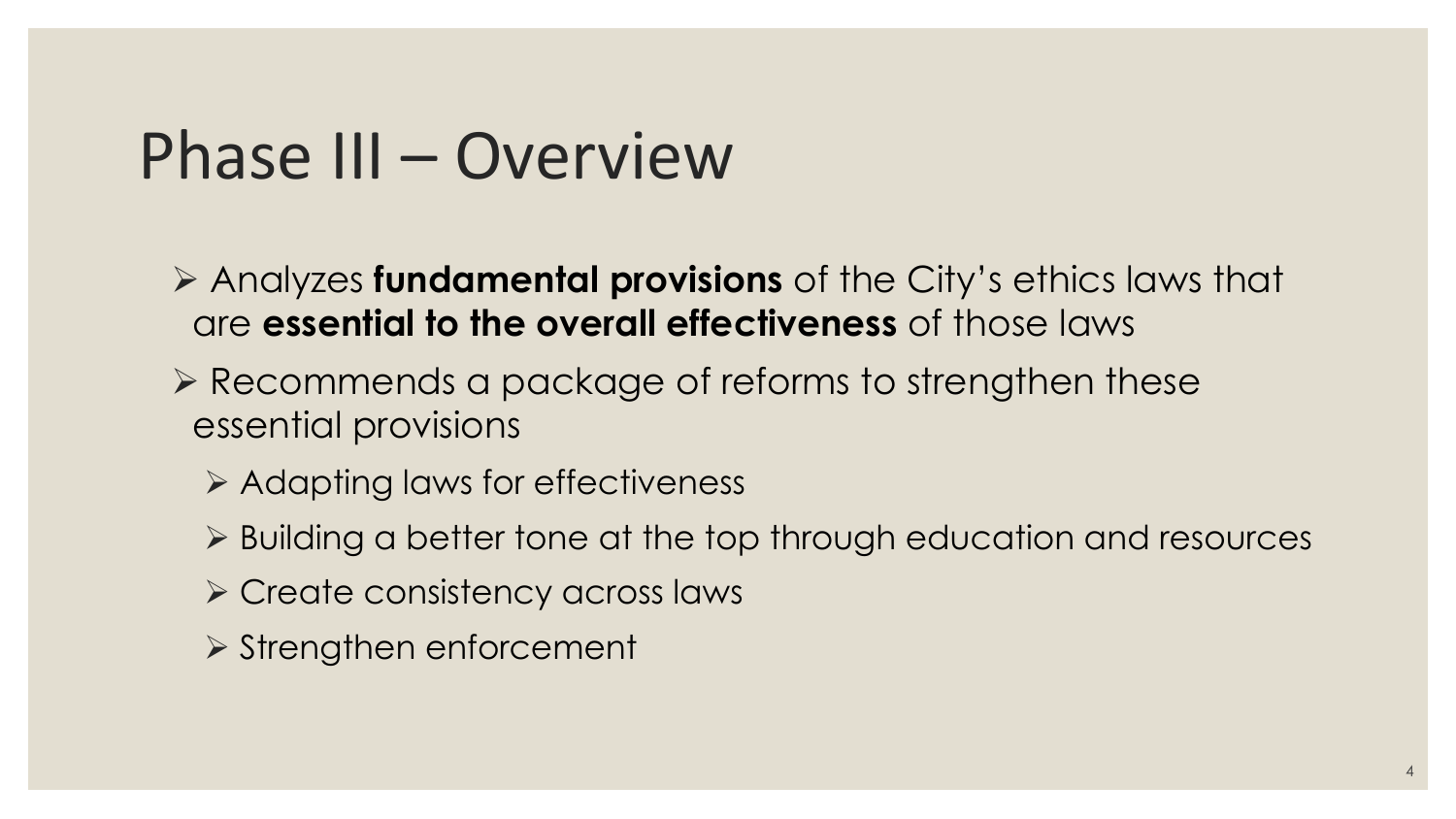## Phase III – Overview

- Analyzes **fundamental provisions** of the City's ethics laws that are **essential to the overall effectiveness** of those laws
- $\triangleright$  Recommends a package of reforms to strengthen these essential provisions
	- $\triangleright$  Adapting laws for effectiveness
	- Building a better tone at the top through education and resources
	- Create consistency across laws
	- **≻ Strengthen enforcement**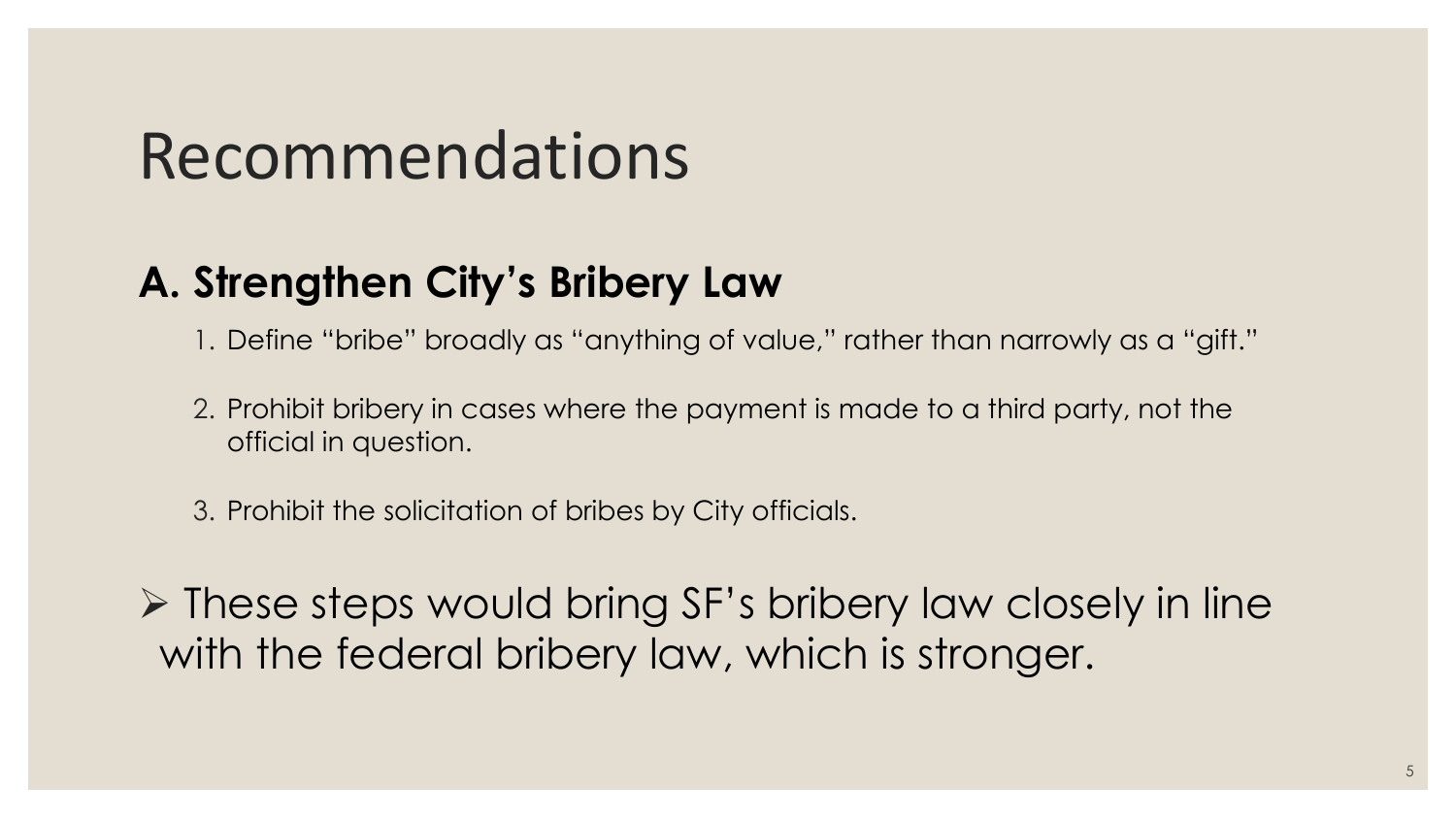#### **A. Strengthen City's Bribery Law**

- 1. Define "bribe" broadly as "anything of value," rather than narrowly as a "gift."
- 2. Prohibit bribery in cases where the payment is made to a third party, not the official in question.
- 3. Prohibit the solicitation of bribes by City officials.

 $\triangleright$  These steps would bring SF's bribery law closely in line with the federal bribery law, which is stronger.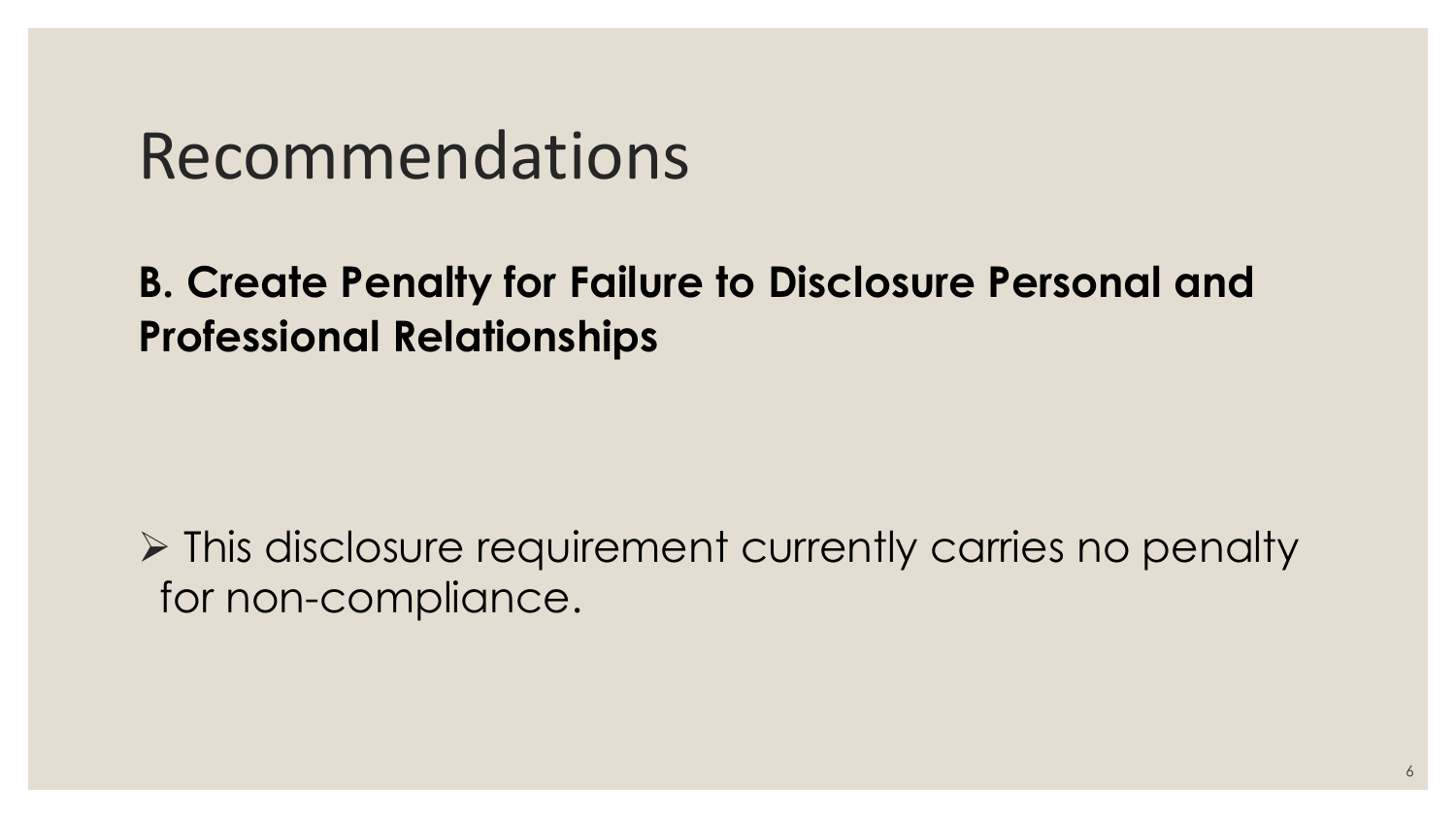### **B. Create Penalty for Failure to Disclosure Personal and Professional Relationships**

 $\triangleright$  This disclosure requirement currently carries no penalty for non-compliance.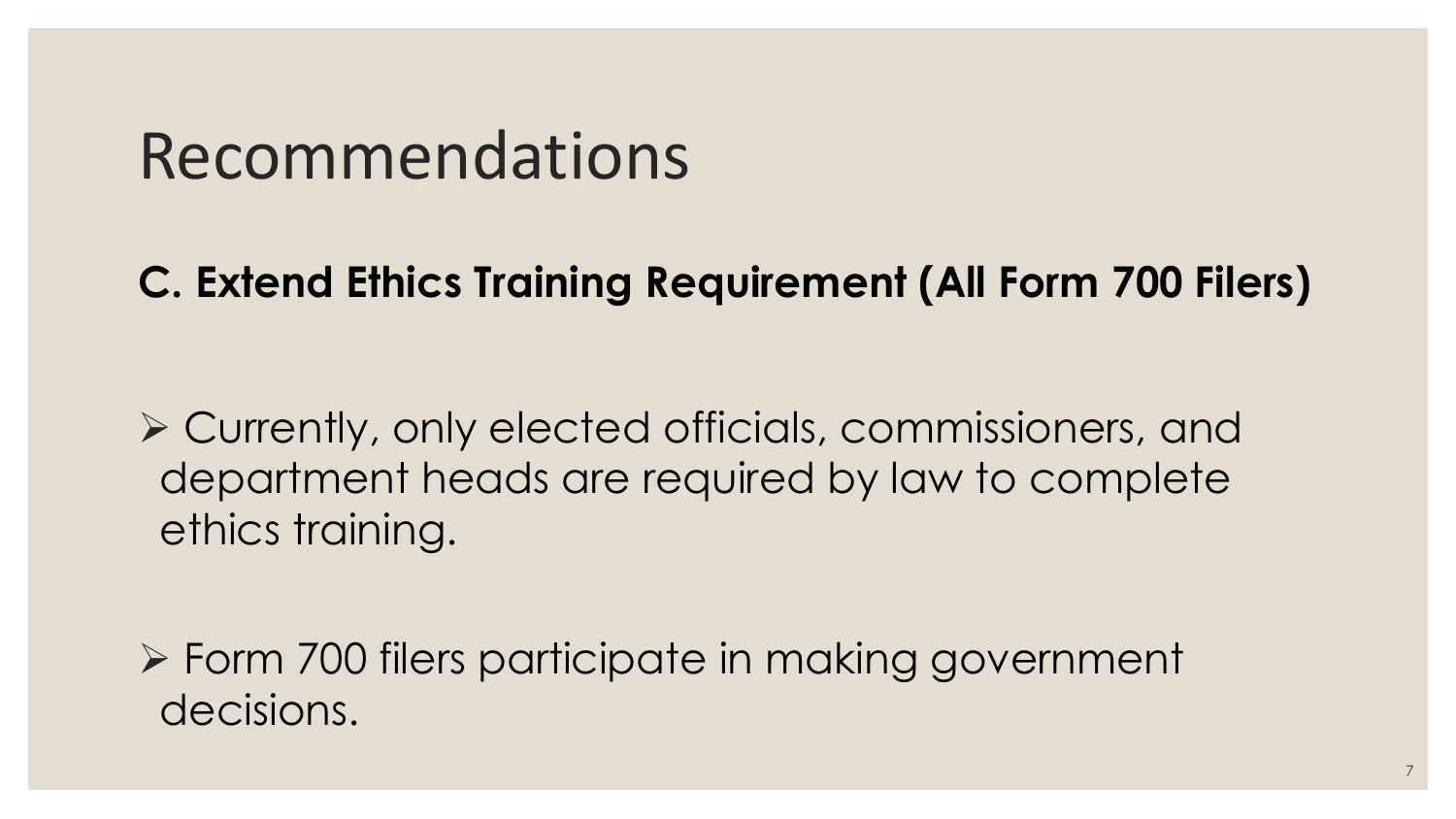**C. Extend Ethics Training Requirement (All Form 700 Filers)**

 Currently, only elected officials, commissioners, and department heads are required by law to complete ethics training.

 Form 700 filers participate in making government decisions.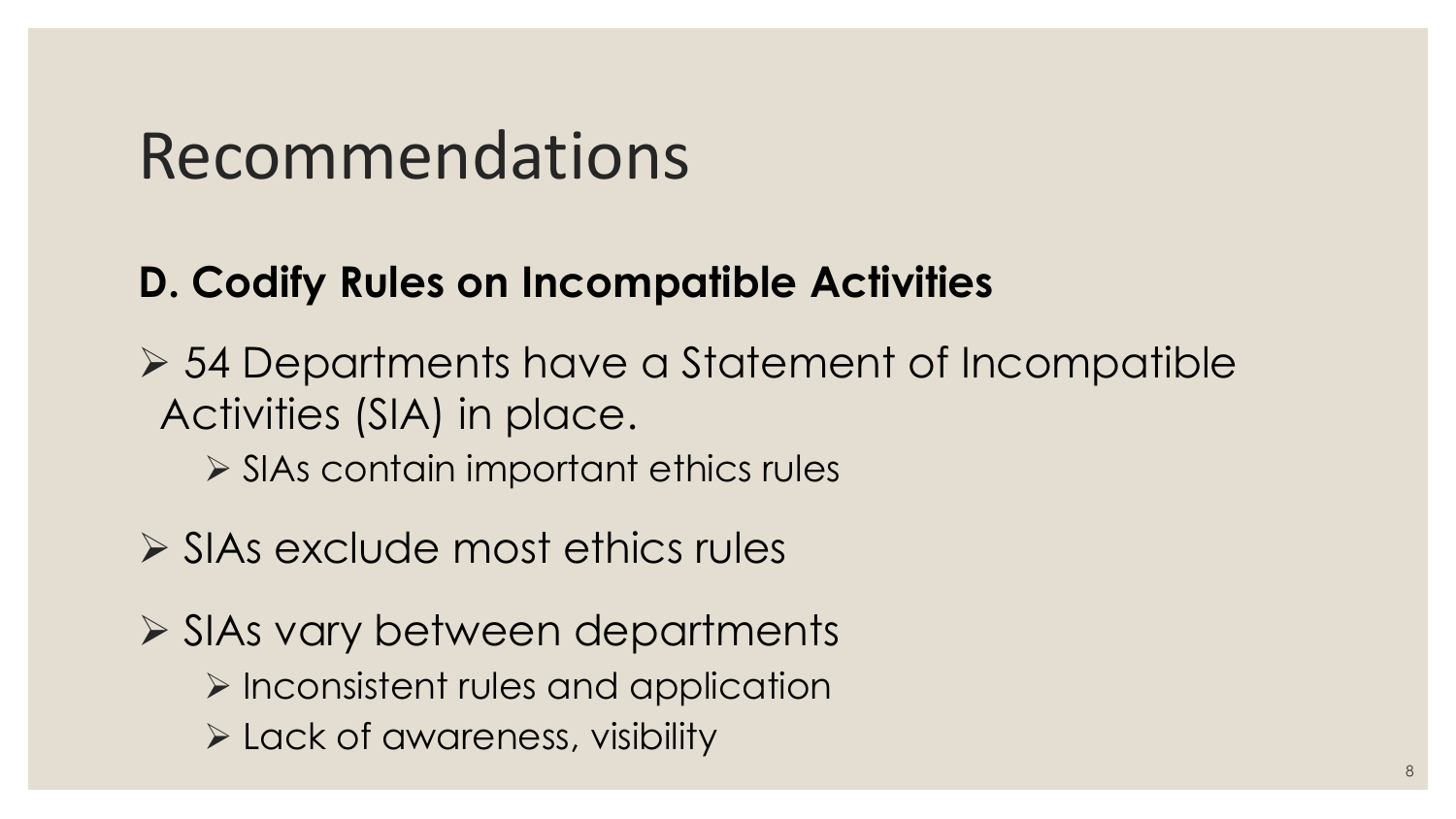#### **D. Codify Rules on Incompatible Activities**

- **► 54 Departments have a Statement of Incompatible** Activities (SIA) in place.
	- SIAs contain important ethics rules
- SIAs exclude most ethics rules
- SIAs vary between departments  $\triangleright$  Inconsistent rules and application  $\triangleright$  Lack of awareness, visibility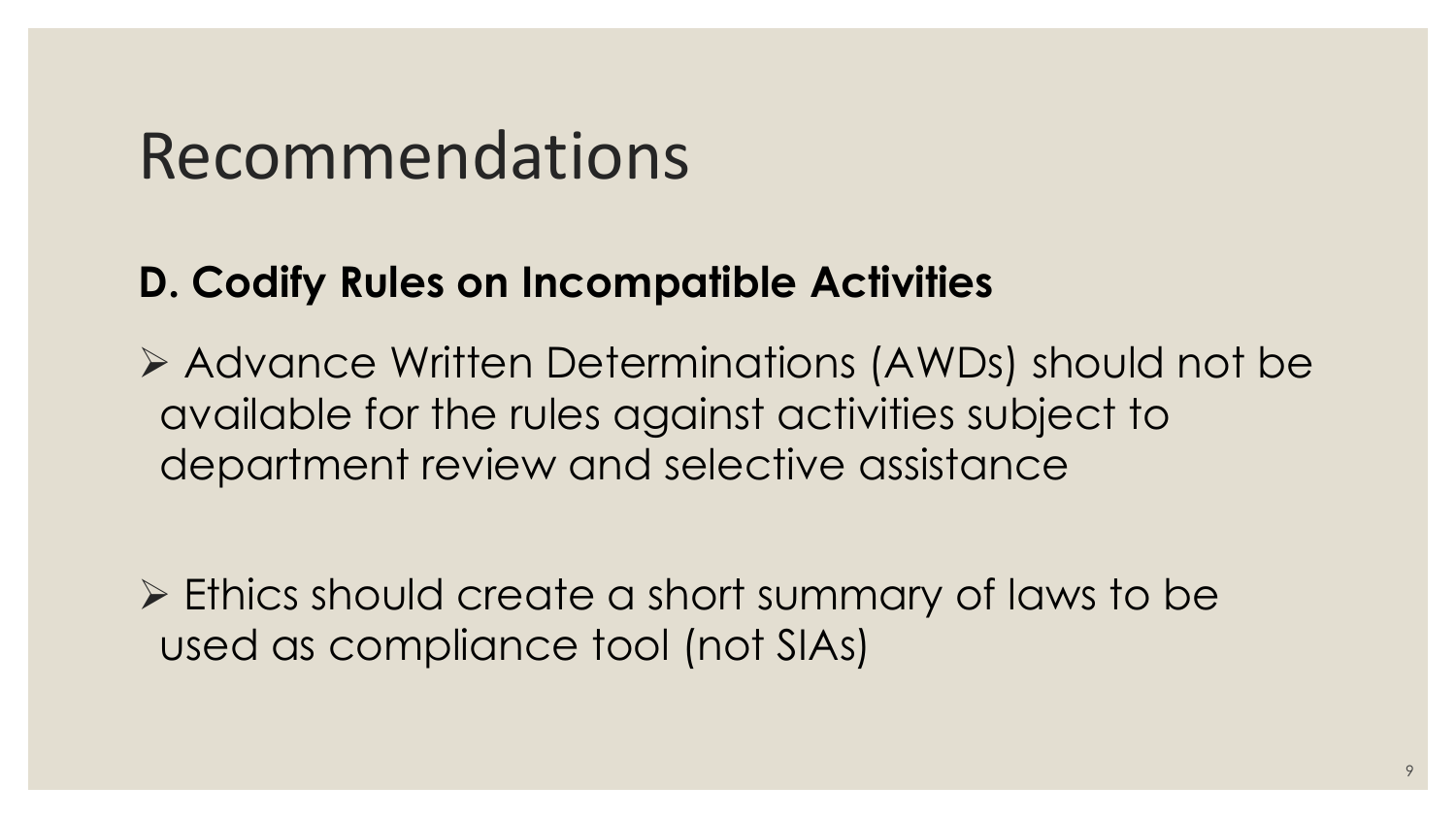### **D. Codify Rules on Incompatible Activities**

 Advance Written Determinations (AWDs) should not be available for the rules against activities subject to department review and selective assistance

 Ethics should create a short summary of laws to be used as compliance tool (not SIAs)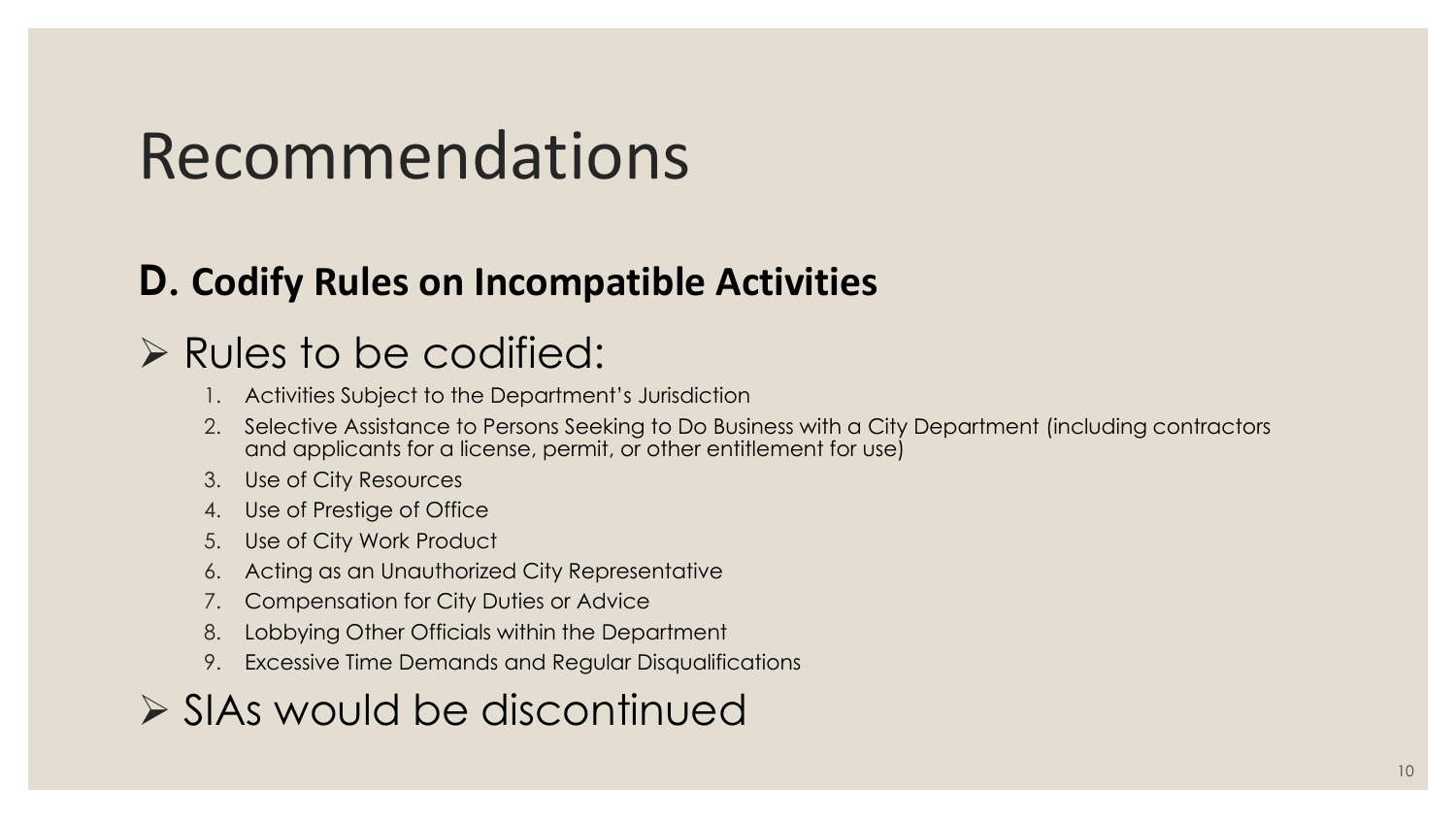#### **D. Codify Rules on Incompatible Activities**

### $\triangleright$  Rules to be codified:

- 1. Activities Subject to the Department's Jurisdiction
- 2. Selective Assistance to Persons Seeking to Do Business with a City Department (including contractors and applicants for a license, permit, or other entitlement for use)
- 3. Use of City Resources
- 4. Use of Prestige of Office
- 5. Use of City Work Product
- 6. Acting as an Unauthorized City Representative
- **Compensation for City Duties or Advice**
- 8. Lobbying Other Officials within the Department
- Excessive Time Demands and Regular Disqualifications

#### SIAs would be discontinued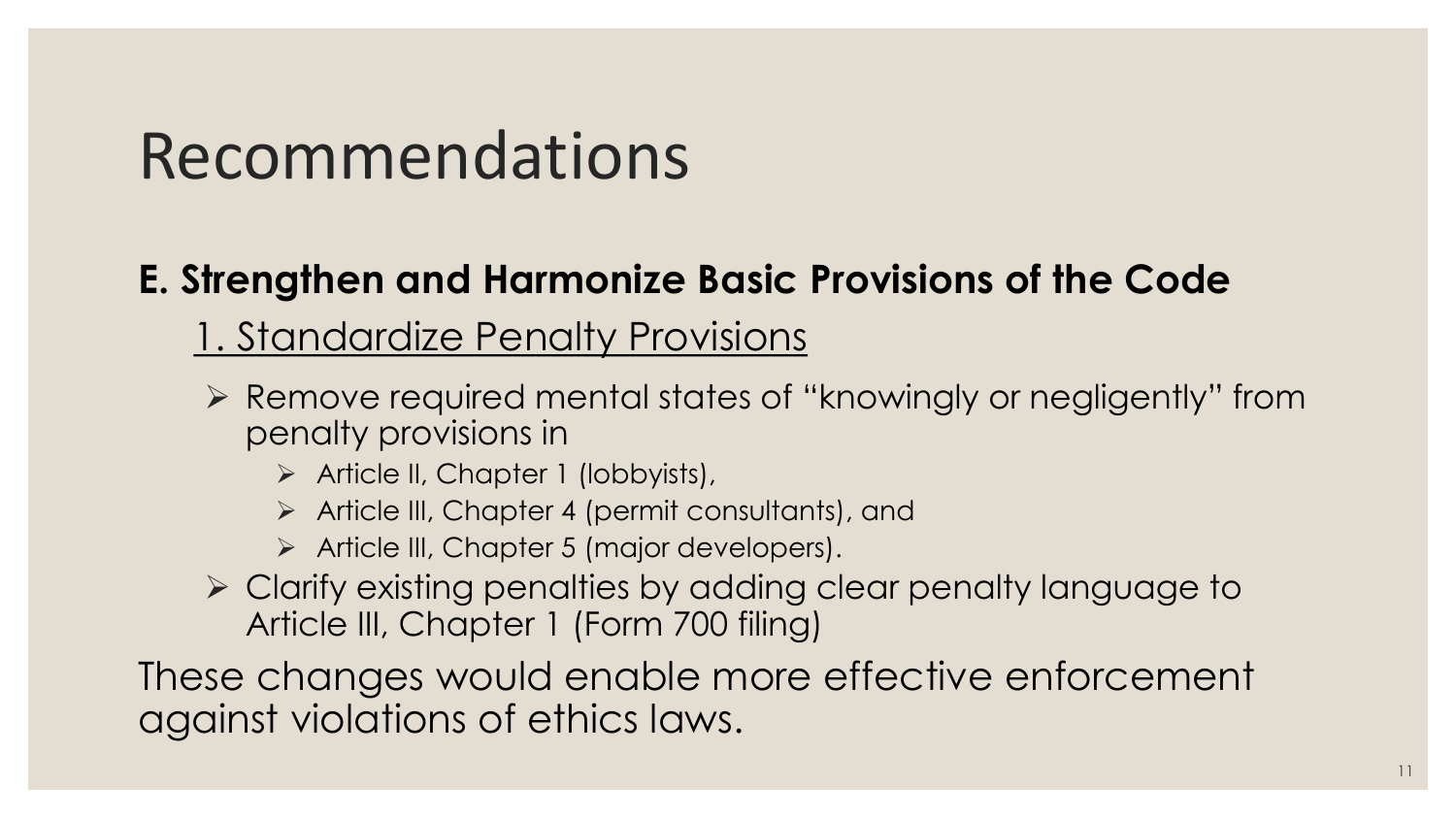#### **E. Strengthen and Harmonize Basic Provisions of the Code**

#### 1. Standardize Penalty Provisions

- Remove required mental states of "knowingly or negligently" from penalty provisions in
	- $\triangleright$  Article II, Chapter 1 (lobbyists),
	- $\triangleright$  Article III, Chapter 4 (permit consultants), and
	- > Article III, Chapter 5 (major developers).
- Clarify existing penalties by adding clear penalty language to Article III, Chapter 1 (Form 700 filing)

These changes would enable more effective enforcement against violations of ethics laws.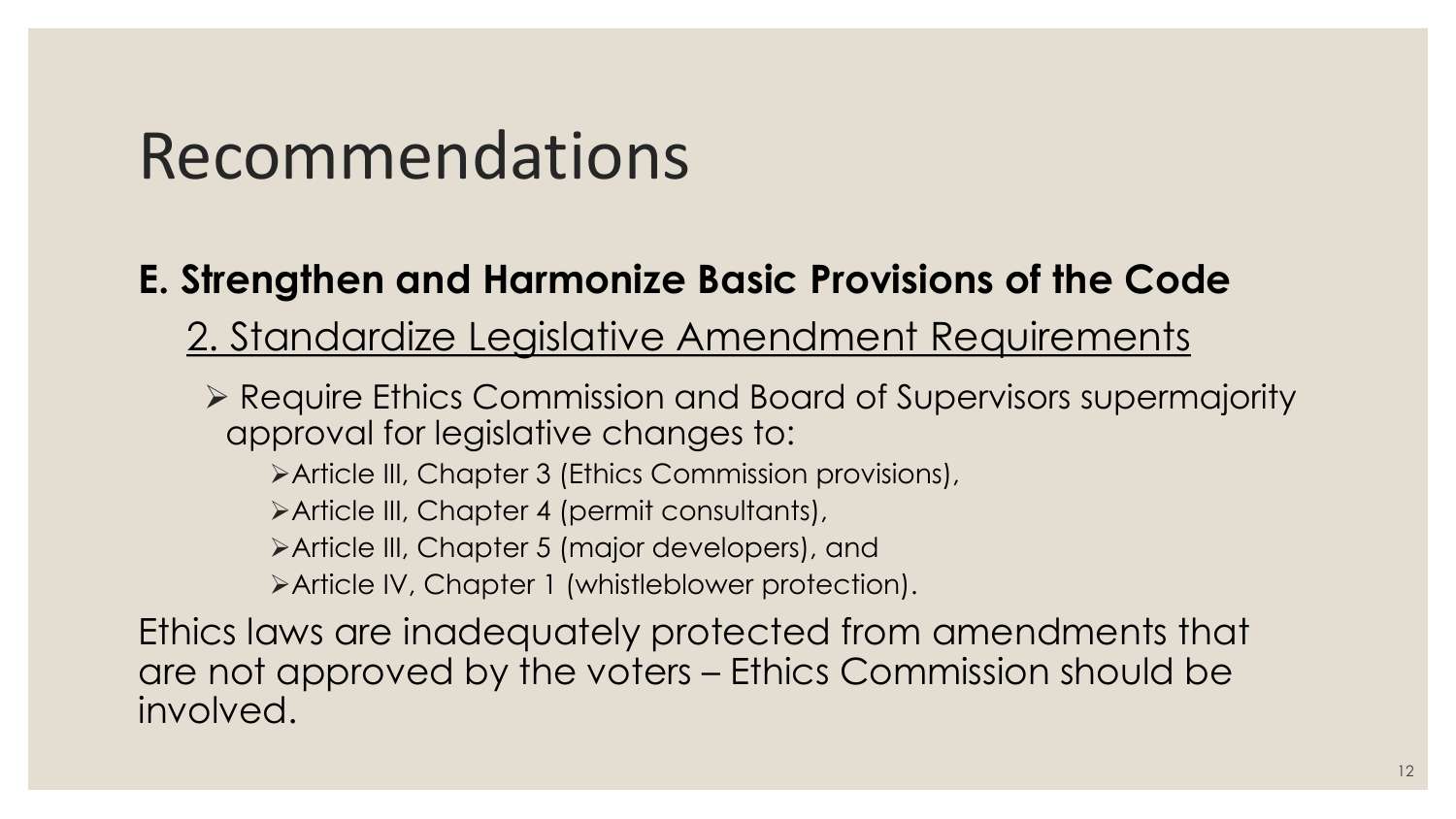#### **E. Strengthen and Harmonize Basic Provisions of the Code**

- 2. Standardize Legislative Amendment Requirements
	- Require Ethics Commission and Board of Supervisors supermajority approval for legislative changes to:
		- Article III, Chapter 3 (Ethics Commission provisions),
		- Article III, Chapter 4 (permit consultants),
		- Article III, Chapter 5 (major developers), and
		- Article IV, Chapter 1 (whistleblower protection).

Ethics laws are inadequately protected from amendments that are not approved by the voters – Ethics Commission should be involved.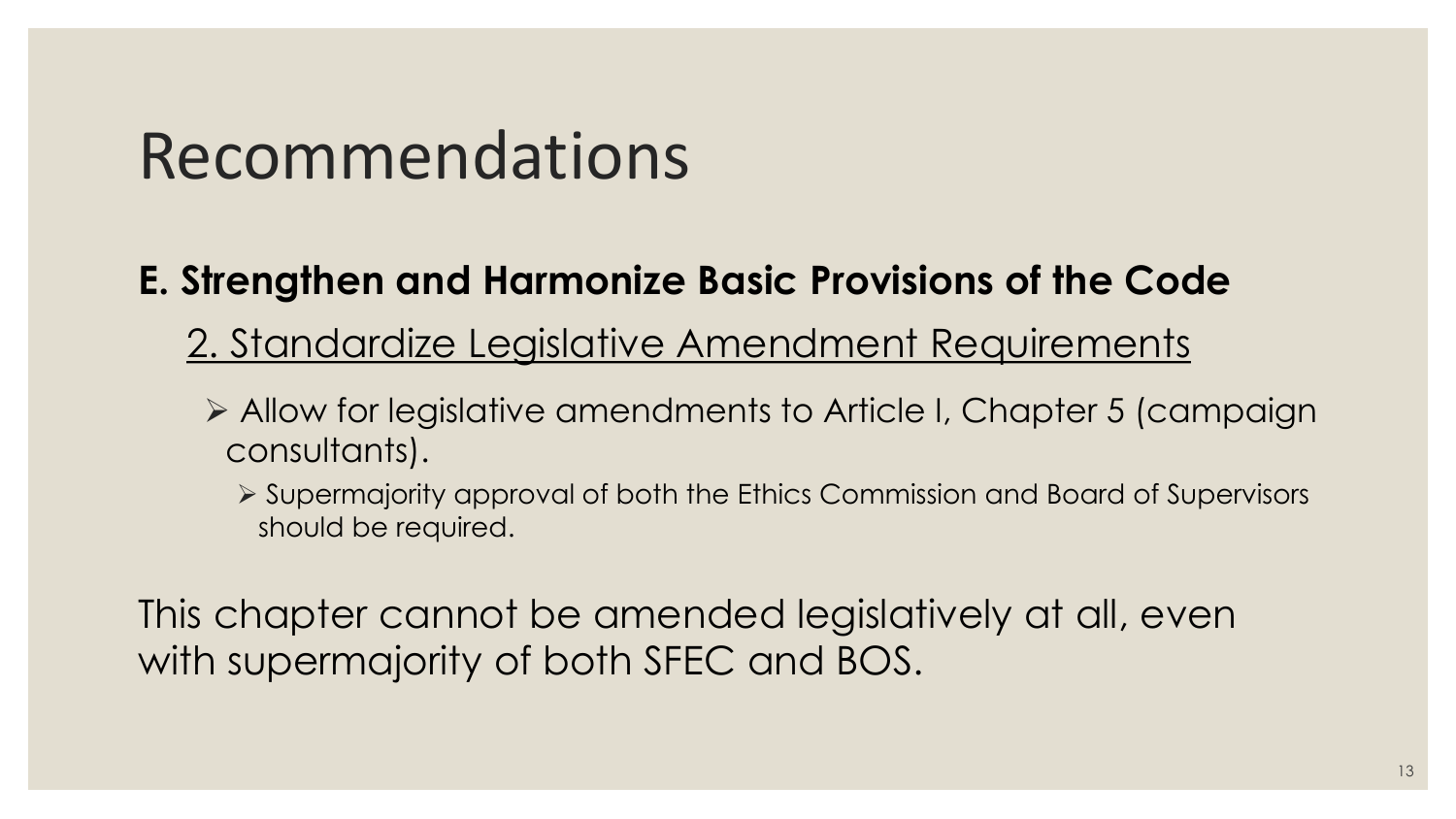#### **E. Strengthen and Harmonize Basic Provisions of the Code**

- 2. Standardize Legislative Amendment Requirements
	- Allow for legislative amendments to Article I, Chapter 5 (campaign consultants).
		- Supermajority approval of both the Ethics Commission and Board of Supervisors should be required.

This chapter cannot be amended legislatively at all, even with supermajority of both SFEC and BOS.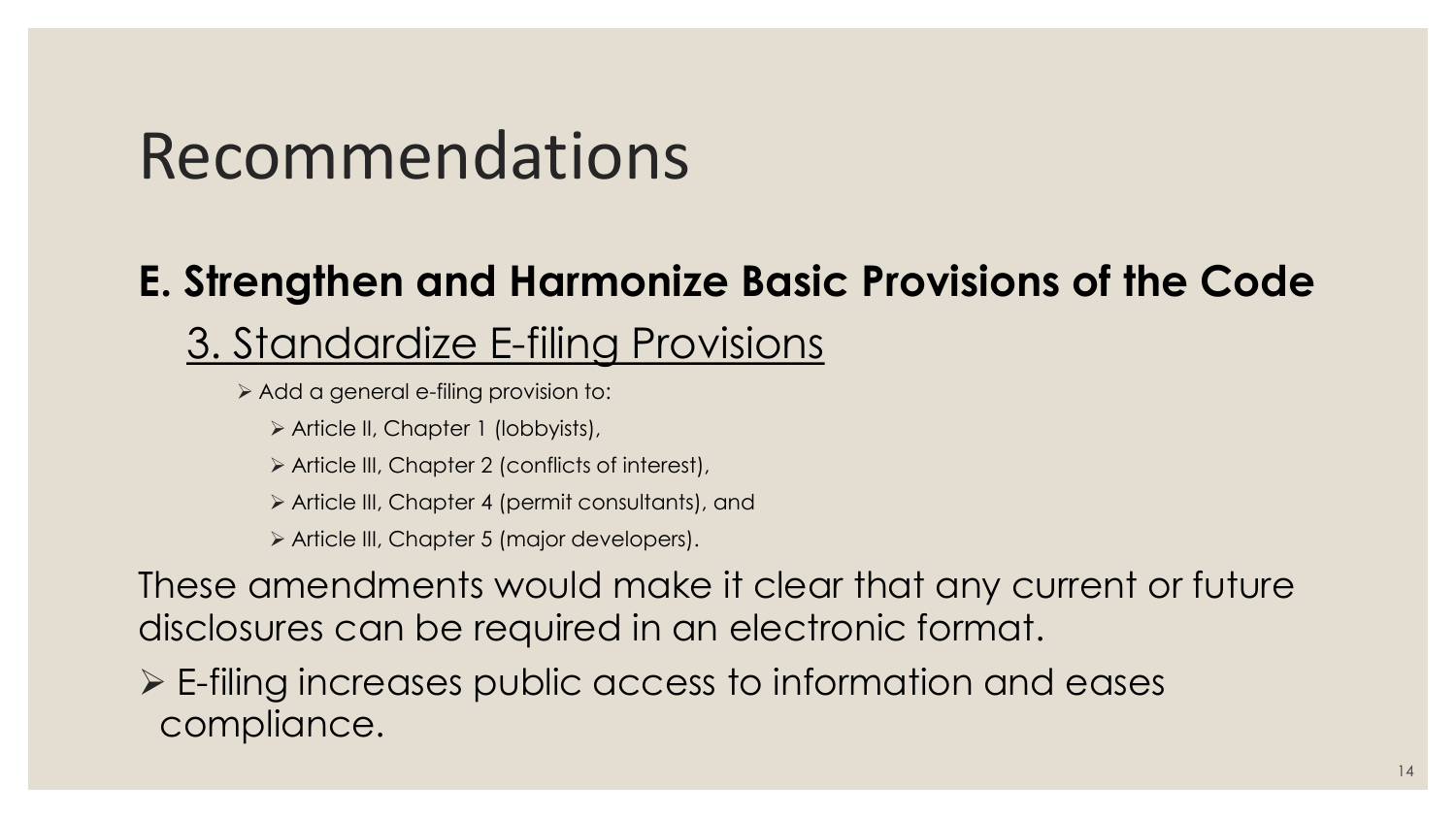#### **E. Strengthen and Harmonize Basic Provisions of the Code**

### 3. Standardize E-filing Provisions

Add a general e-filing provision to:

- Article II, Chapter 1 (lobbyists),
- Article III, Chapter 2 (conflicts of interest),
- Article III, Chapter 4 (permit consultants), and
- Article III, Chapter 5 (major developers).

These amendments would make it clear that any current or future disclosures can be required in an electronic format.

#### E-filing increases public access to information and eases compliance.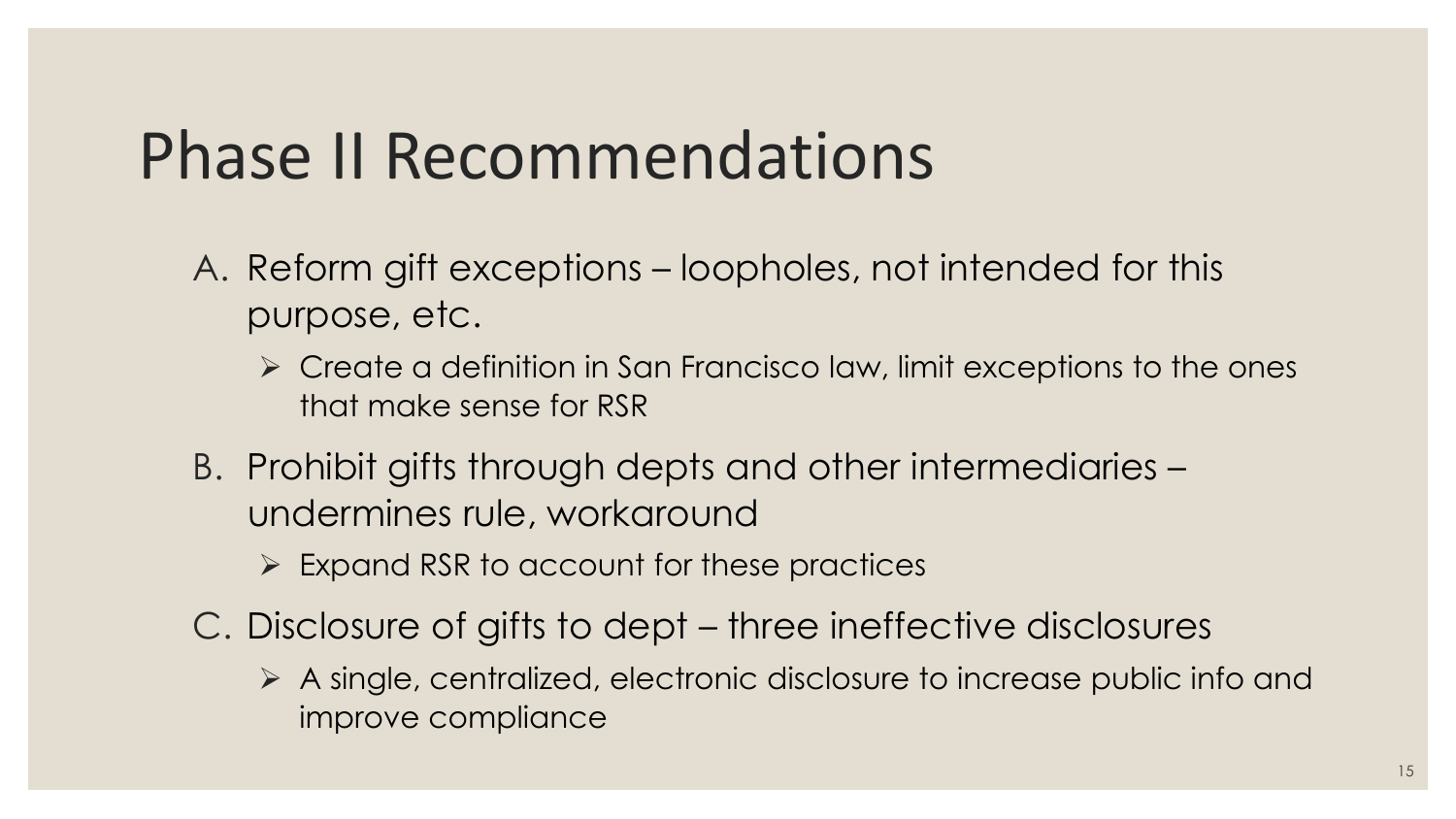## Phase II Recommendations

- A. Reform gift exceptions loopholes, not intended for this purpose, etc.
	- $\triangleright$  Create a definition in San Francisco law, limit exceptions to the ones that make sense for RSR
- B. Prohibit gifts through depts and other intermediaries undermines rule, workaround
	- $\triangleright$  Expand RSR to account for these practices
- C. Disclosure of gifts to dept three ineffective disclosures
	- $\triangleright$  A single, centralized, electronic disclosure to increase public info and improve compliance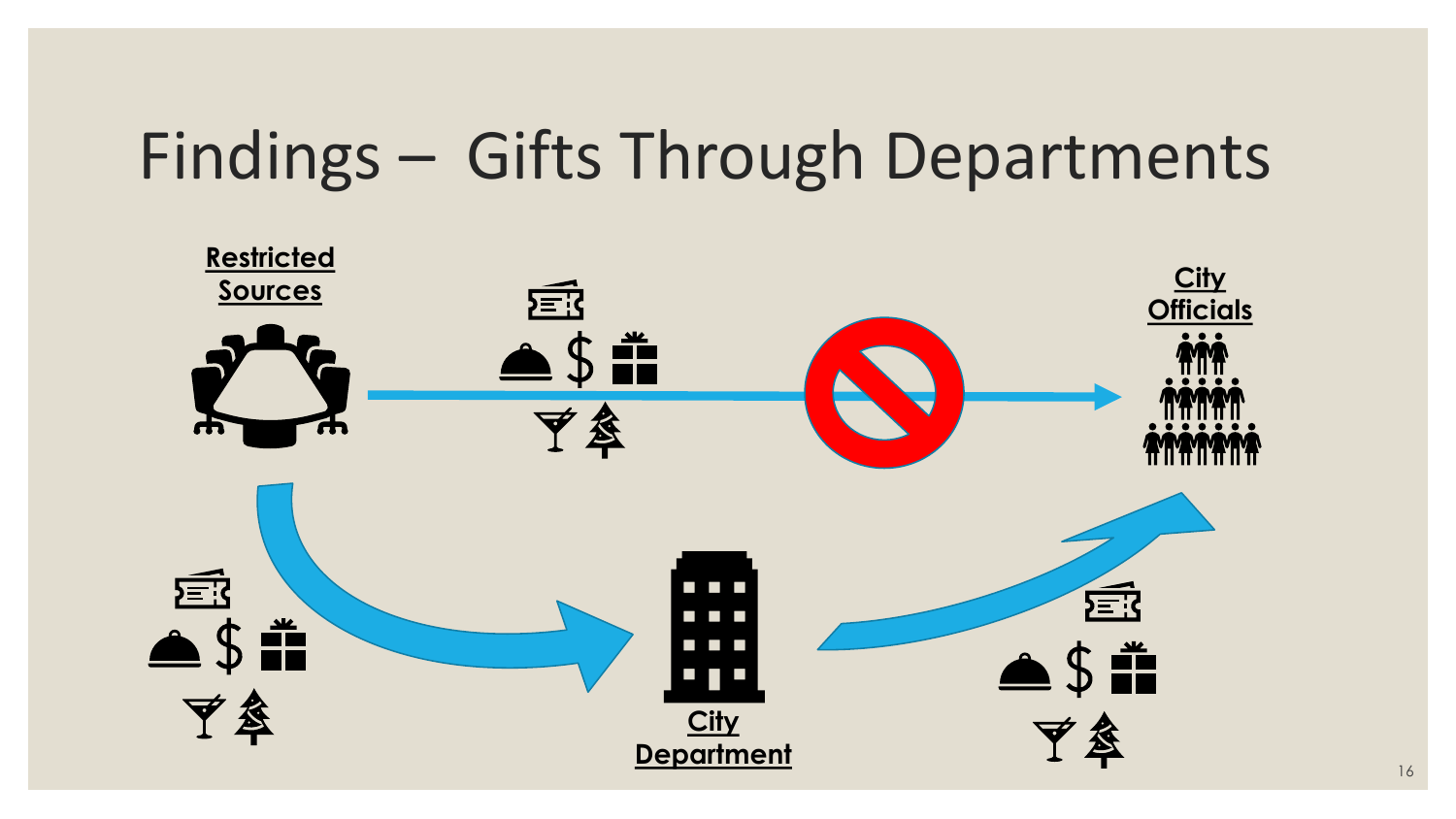## Findings – Gifts Through Departments

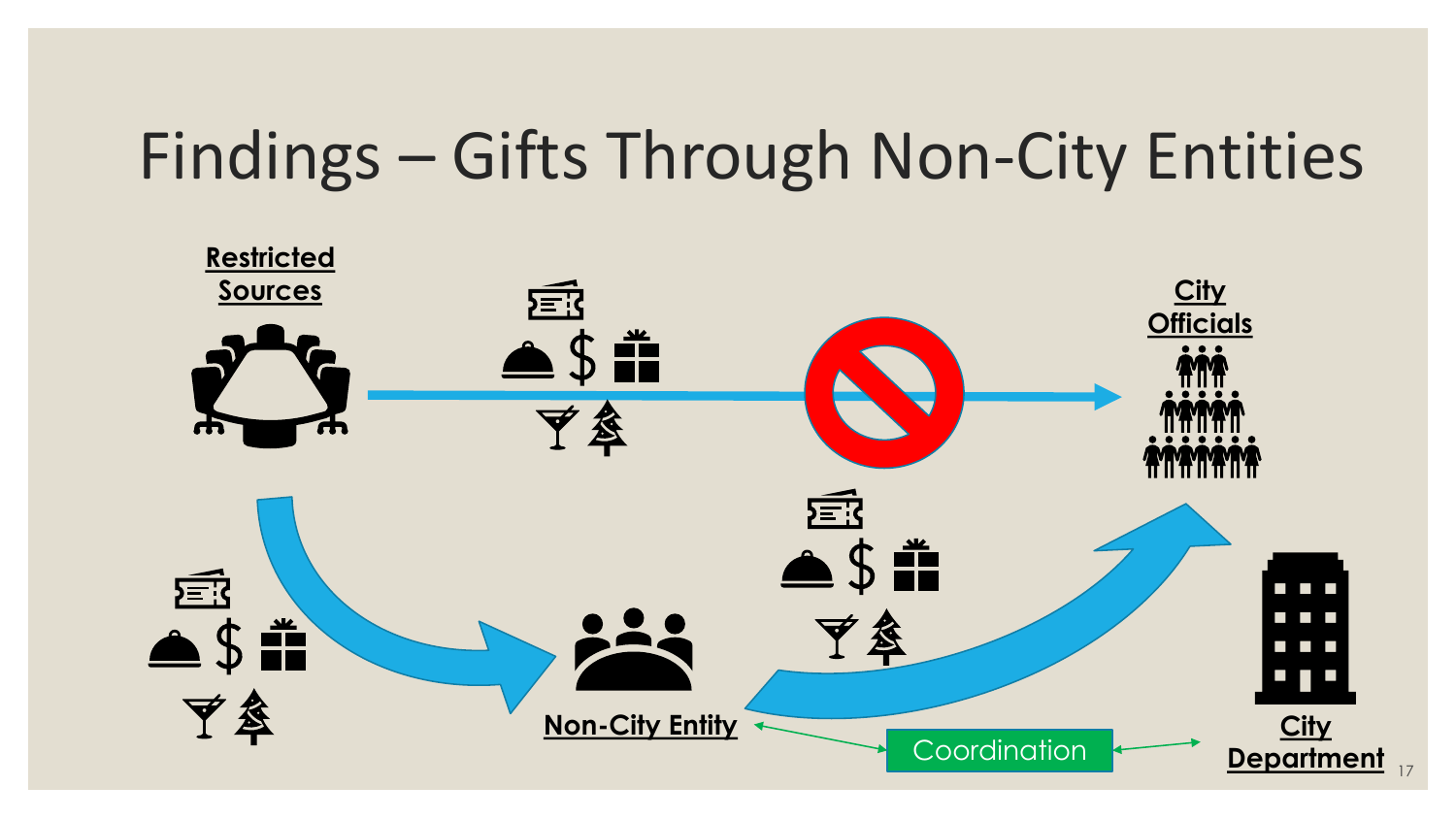# Findings – Gifts Through Non-City Entities

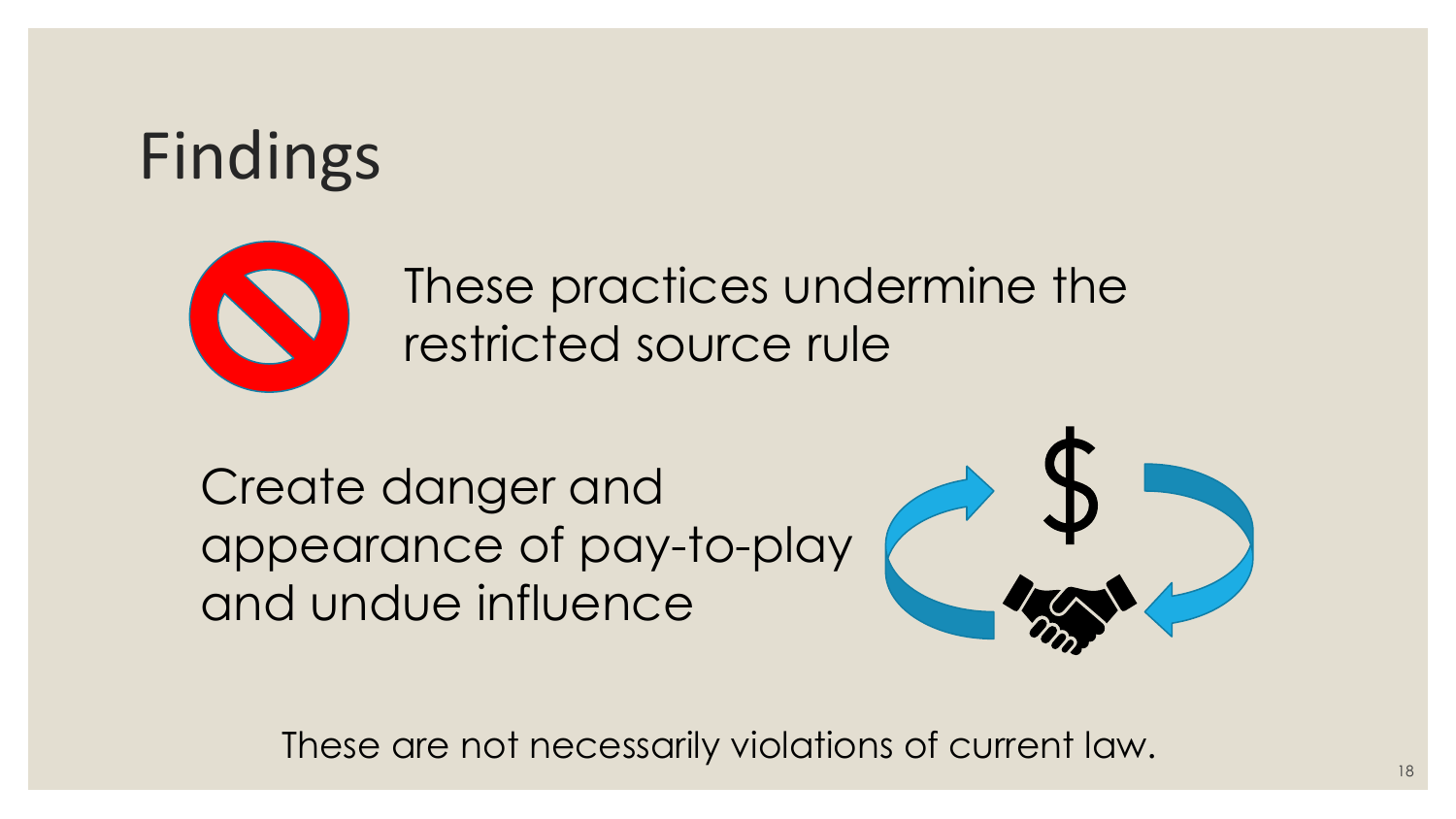# Findings



These practices undermine the restricted source rule

Create danger and appearance of pay-to-play and undue influence



These are not necessarily violations of current law.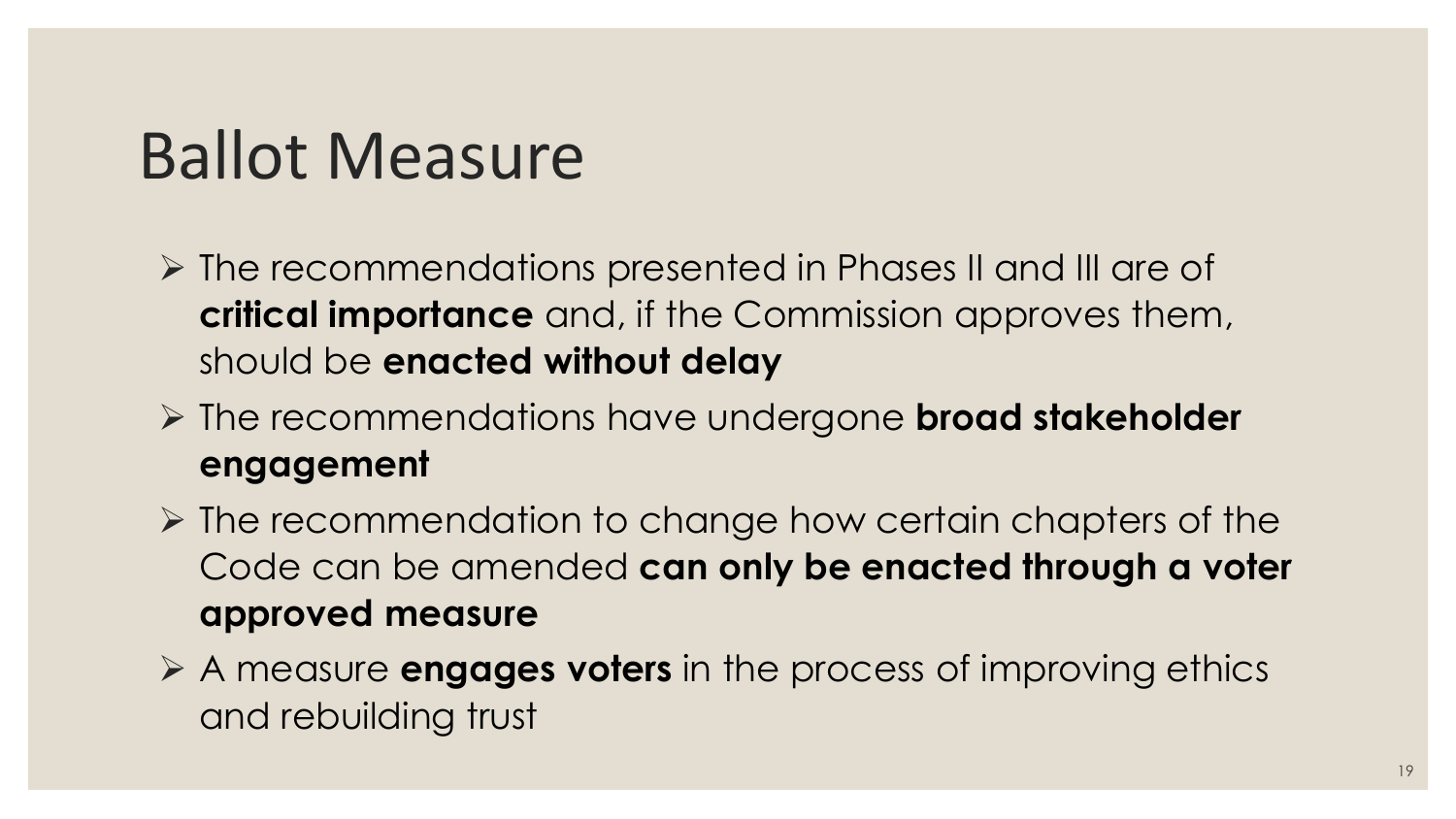## Ballot Measure

- The recommendations presented in Phases II and III are of **critical importance** and, if the Commission approves them, should be **enacted without delay**
- The recommendations have undergone **broad stakeholder engagement**
- $\triangleright$  The recommendation to change how certain chapters of the Code can be amended **can only be enacted through a voter approved measure**
- A measure **engages voters** in the process of improving ethics and rebuilding trust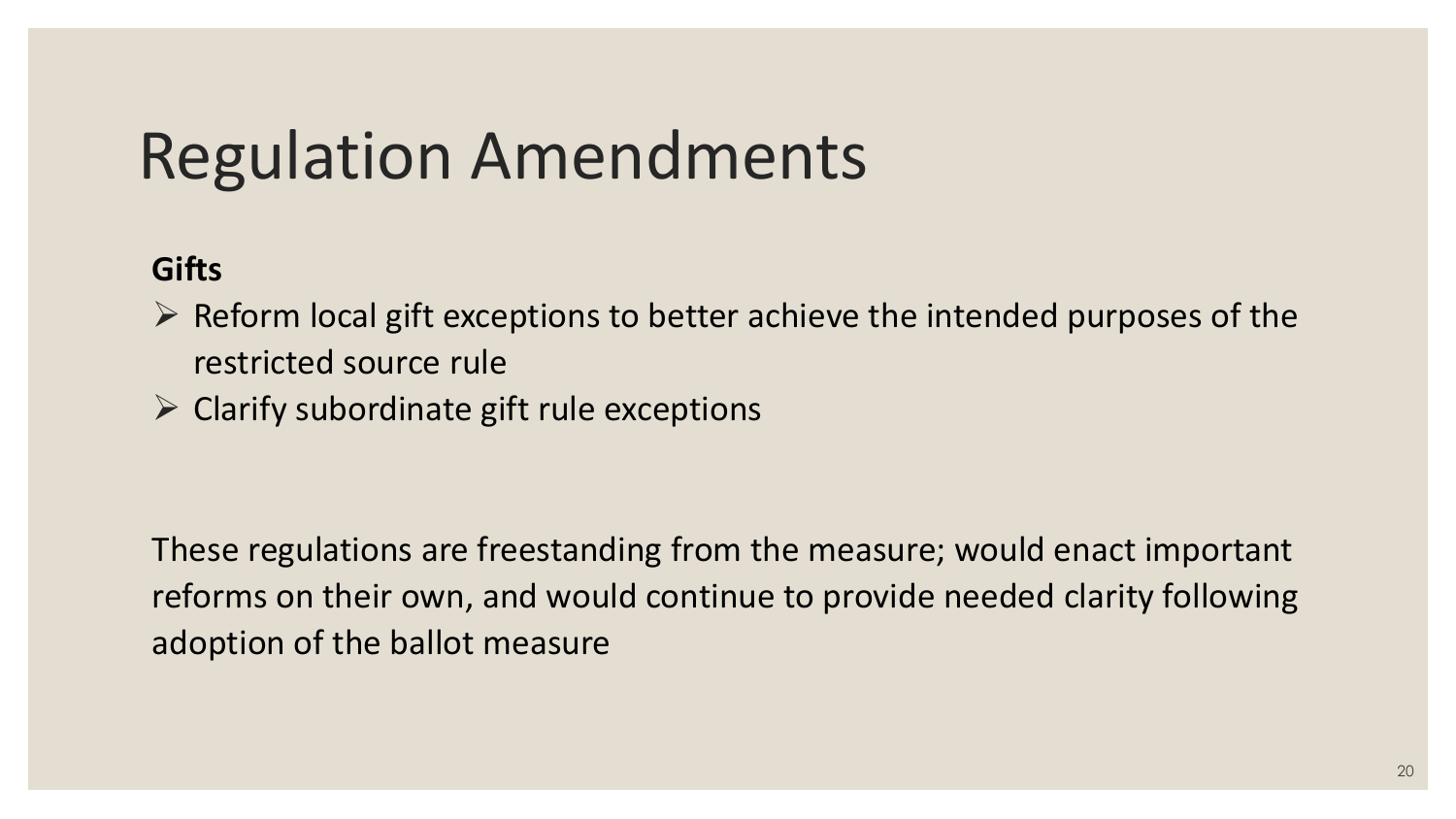# Regulation Amendments

#### **Gifts**

- $\triangleright$  Reform local gift exceptions to better achieve the intended purposes of the restricted source rule
- $\triangleright$  Clarify subordinate gift rule exceptions

These regulations are freestanding from the measure; would enact important reforms on their own, and would continue to provide needed clarity following adoption of the ballot measure